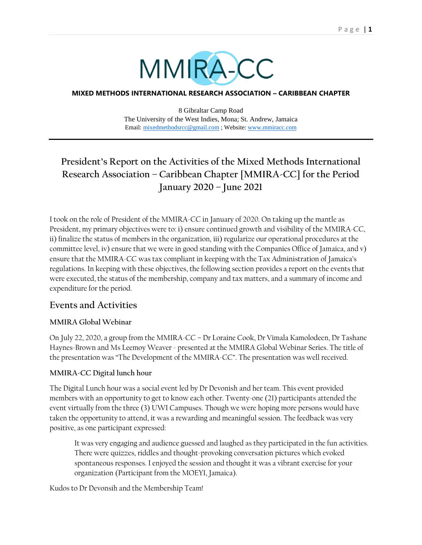

#### **MIXED METHODS INTERNATIONAL RESEARCH ASSOCIATION – CARIBBEAN CHAPTER**

8 Gibraltar Camp Road The University of the West Indies, Mona; St. Andrew, Jamaica Email: [mixedmethodsrcc@gmail.com](mailto:mixedmethodsrcc@gmail.com) ; Website[: www.mmiracc.com](http://www.mmiracc.com/)

# **President's Report on the Activities of the Mixed Methods International Research Association – Caribbean Chapter [MMIRA-CC] for the Period January 2020 – June 2021**

I took on the role of President of the MMIRA-CC in January of 2020. On taking up the mantle as President, my primary objectives were to: i) ensure continued growth and visibility of the MMIRA-CC, ii) finalize the status of members in the organization, iii) regularize our operational procedures at the committee level, iv) ensure that we were in good standing with the Companies Office of Jamaica, and v) ensure that the MMIRA-CC was tax compliant in keeping with the Tax Administration of Jamaica's regulations. In keeping with these objectives, the following section provides a report on the events that were executed, the status of the membership, company and tax matters, and a summary of income and expenditure for the period.

## **Events and Activities**

### **MMIRA Global Webinar**

On July 22, 2020, a group from the MMIRA-CC – Dr Loraine Cook, Dr Vimala Kamolodeen, Dr Tashane Haynes-Brown and Ms Leemoy Weaver - presented at the MMIRA Global Webinar Series. The title of the presentation was "The Development of the MMIRA-CC". The presentation was well received.

### **MMIRA-CC Digital lunch hour**

The Digital Lunch hour was a social event led by Dr Devonish and her team. This event provided members with an opportunity to get to know each other. Twenty-one (21) participants attended the event virtually from the three (3) UWI Campuses. Though we were hoping more persons would have taken the opportunity to attend, it was a rewarding and meaningful session. The feedback was very positive, as one participant expressed:

It was very engaging and audience guessed and laughed as they participated in the fun activities. There were quizzes, riddles and thought-provoking conversation pictures which evoked spontaneous responses. I enjoyed the session and thought it was a vibrant exercise for your organization (Participant from the MOEYI, Jamaica).

Kudos to Dr Devonsih and the Membership Team!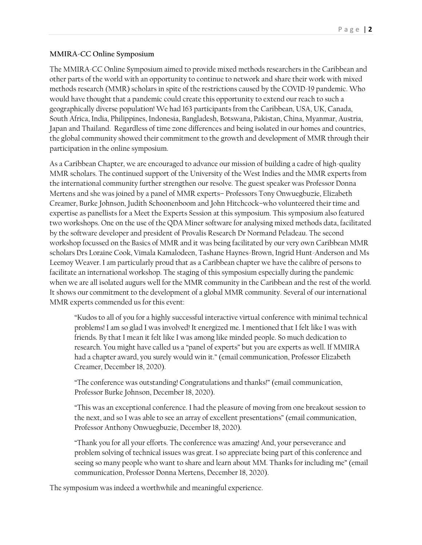#### **MMIRA-CC Online Symposium**

The MMIRA-CC Online Symposium aimed to provide mixed methods researchers in the Caribbean and other parts of the world with an opportunity to continue to network and share their work with mixed methods research (MMR) scholars in spite of the restrictions caused by the COVID-19 pandemic. Who would have thought that a pandemic could create this opportunity to extend our reach to such a geographically diverse population! We had 163 participants from the Caribbean, USA, UK, Canada, South Africa, India, Philippines, Indonesia, Bangladesh, Botswana, Pakistan, China, Myanmar, Austria, Japan and Thailand. Regardless of time zone differences and being isolated in our homes and countries, the global community showed their commitment to the growth and development of MMR through their participation in the online symposium.

As a Caribbean Chapter, we are encouraged to advance our mission of building a cadre of high-quality MMR scholars. The continued support of the University of the West Indies and the MMR experts from the international community further strengthen our resolve. The guest speaker was Professor Donna Mertens and she was joined by a panel of MMR experts– Professors Tony Onwuegbuzie, Elizabeth Creamer, Burke Johnson, Judith Schoonenboom and John Hitchcock–who volunteered their time and expertise as panellists for a Meet the Experts Session at this symposium. This symposium also featured two workshops. One on the use of the QDA Miner software for analysing mixed methods data, facilitated by the software developer and president of Provalis Research Dr Normand Peladeau. The second workshop focussed on the Basics of MMR and it was being facilitated by our very own Caribbean MMR scholars Drs Loraine Cook, Vimala Kamalodeen, Tashane Haynes-Brown, Ingrid Hunt-Anderson and Ms Leemoy Weaver. I am particularly proud that as a Caribbean chapter we have the calibre of persons to facilitate an international workshop. The staging of this symposium especially during the pandemic when we are all isolated augurs well for the MMR community in the Caribbean and the rest of the world. It shows our commitment to the development of a global MMR community. Several of our international MMR experts commended us for this event:

"Kudos to all of you for a highly successful interactive virtual conference with minimal technical problems! I am so glad I was involved! It energized me. I mentioned that I felt like I was with friends. By that I mean it felt like I was among like minded people. So much dedication to research. You might have called us a "panel of experts" but you are experts as well. If MMIRA had a chapter award, you surely would win it." (email communication, Professor Elizabeth Creamer, December 18, 2020).

"The conference was outstanding! Congratulations and thanks!" (email communication, Professor Burke Johnson, December 18, 2020).

"This was an exceptional conference. I had the pleasure of moving from one breakout session to the next, and so I was able to see an array of excellent presentations" (email communication, Professor Anthony Onwuegbuzie, December 18, 2020).

"Thank you for all your efforts. The conference was amazing! And, your perseverance and problem solving of technical issues was great. I so appreciate being part of this conference and seeing so many people who want to share and learn about MM. Thanks for including me" (email communication, Professor Donna Mertens, December 18, 2020).

The symposium was indeed a worthwhile and meaningful experience.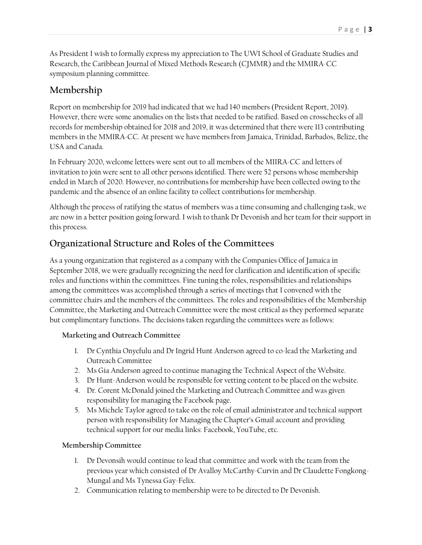As President I wish to formally express my appreciation to The UWI School of Graduate Studies and Research, the Caribbean Journal of Mixed Methods Research (CJMMR) and the MMIRA-CC symposium planning committee.

## **Membership**

Report on membership for 2019 had indicated that we had 140 members (President Report, 2019). However, there were some anomalies on the lists that needed to be ratified. Based on crosschecks of all records for membership obtained for 2018 and 2019, it was determined that there were 113 contributing members in the MMIRA-CC. At present we have members from Jamaica, Trinidad, Barbados, Belize, the USA and Canada.

In February 2020, welcome letters were sent out to all members of the MIIRA-CC and letters of invitation to join were sent to all other persons identified. There were 52 persons whose membership ended in March of 2020. However, no contributions for membership have been collected owing to the pandemic and the absence of an online facility to collect contributions for membership.

Although the process of ratifying the status of members was a time consuming and challenging task, we are now in a better position going forward. I wish to thank Dr Devonish and her team for their support in this process.

## **Organizational Structure and Roles of the Committees**

As a young organization that registered as a company with the Companies Office of Jamaica in September 2018, we were gradually recognizing the need for clarification and identification of specific roles and functions within the committees. Fine tuning the roles, responsibilities and relationships among the committees was accomplished through a series of meetings that I convened with the committee chairs and the members of the committees. The roles and responsibilities of the Membership Committee, the Marketing and Outreach Committee were the most critical as they performed separate but complimentary functions. The decisions taken regarding the committees were as follows:

## **Marketing and Outreach Committee**

- 1. Dr Cynthia Onyefulu and Dr Ingrid Hunt Anderson agreed to co-lead the Marketing and Outreach Committee
- 2. Ms Gia Anderson agreed to continue managing the Technical Aspect of the Website.
- 3. Dr Hunt-Anderson would be responsible for vetting content to be placed on the website.
- 4. Dr. Corent McDonald joined the Marketing and Outreach Committee and was given responsibility for managing the Facebook page.
- 5. Ms Michele Taylor agreed to take on the role of email administrator and technical support person with responsibility for Managing the Chapter's Gmail account and providing technical support for our media links: Facebook, YouTube, etc.

## **Membership Committee**

- 1. Dr Devonsih would continue to lead that committee and work with the team from the previous year which consisted of Dr Avalloy McCarthy-Curvin and Dr Claudette Fongkong-Mungal and Ms Tynessa Gay-Felix.
- 2. Communication relating to membership were to be directed to Dr Devonish.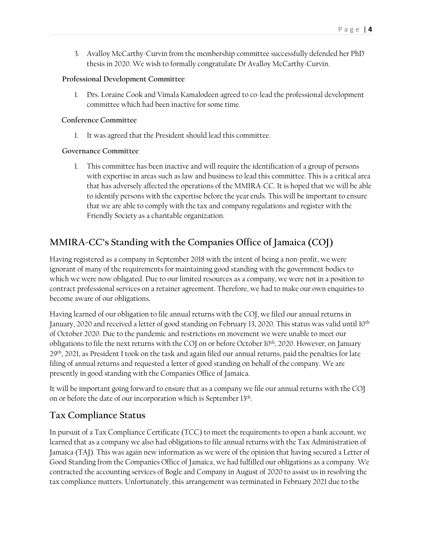3. Avalloy McCarthy-Curvin from the membership committee successfully defended her PhD thesis in 2020. We wish to formally congratulate Dr Avalloy McCarthy-Curvin.

#### **Professional Development Committee**

1. Drs. Loraine Cook and Vimala Kamalodeen agreed to co-lead the professional development committee which had been inactive for some time.

#### **Conference Committee**

1. It was agreed that the President should lead this committee.

### **Governance Committee**

1. This committee has been inactive and will require the identification of a group of persons with expertise in areas such as law and business to lead this committee. This is a critical area that has adversely affected the operations of the MMIRA-CC. It is hoped that we will be able to identify persons with the expertise before the year ends. This will be important to ensure that we are able to comply with the tax and company regulations and register with the Friendly Society as a charitable organization.

## **MMIRA-CC's Standing with the Companies Office of Jamaica (COJ)**

Having registered as a company in September 2018 with the intent of being a non-profit, we were ignorant of many of the requirements for maintaining good standing with the government bodies to which we were now obligated. Due to our limited resources as a company, we were not in a position to contract professional services on a retainer agreement. Therefore, we had to make our own enquiries to become aware of our obligations.

Having learned of our obligation to file annual returns with the COJ, we filed our annual returns in January, 2020 and received a letter of good standing on February 13, 2020. This status was valid until 10th of October 2020. Due to the pandemic and restrictions on movement we were unable to meet our obligations to file the next returns with the COJ on or before October 10<sup>th</sup>, 2020. However, on January 29th, 2021, as President I took on the task and again filed our annual returns, paid the penalties for late filing of annual returns and requested a letter of good standing on behalf of the company. We are presently in good standing with the Companies Office of Jamaica.

It will be important going forward to ensure that as a company we file our annual returns with the COJ on or before the date of our incorporation which is September 13<sup>th</sup>.

## **Tax Compliance Status**

In pursuit of a Tax Compliance Certificate (TCC) to meet the requirements to open a bank account, we learned that as a company we also had obligations to file annual returns with the Tax Administration of Jamaica (TAJ). This was again new information as we were of the opinion that having secured a Letter of Good Standing from the Companies Office of Jamaica, we had fulfilled our obligations as a company. We contracted the accounting services of Bogle and Company in August of 2020 to assist us in resolving the tax compliance matters. Unfortunately, this arrangement was terminated in February 2021 due to the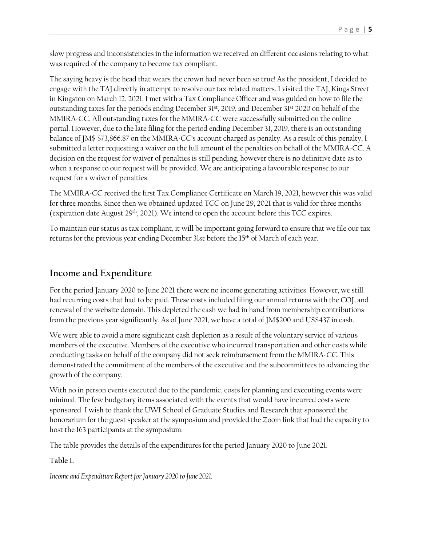slow progress and inconsistencies in the information we received on different occasions relating to what was required of the company to become tax compliant.

The saying heavy is the head that wears the crown had never been so true! As the president, I decided to engage with the TAJ directly in attempt to resolve our tax related matters. I visited the TAJ, Kings Street in Kingston on March 12, 2021. I met with a Tax Compliance Officer and was guided on how to file the outstanding taxes for the periods ending December 31st, 2019, and December 31st 2020 on behalf of the MMIRA-CC. All outstanding taxes for the MMIRA-CC were successfully submitted on the online portal. However, due to the late filing for the period ending December 31, 2019, there is an outstanding balance of JM\$ \$73,866.87 on the MMIRA-CC's account charged as penalty. As a result of this penalty, I submitted a letter requesting a waiver on the full amount of the penalties on behalf of the MMIRA-CC. A decision on the request for waiver of penalties is still pending, however there is no definitive date as to when a response to our request will be provided. We are anticipating a favourable response to our request for a waiver of penalties.

The MMIRA-CC received the first Tax Compliance Certificate on March 19, 2021, however this was valid for three months. Since then we obtained updated TCC on June 29, 2021 that is valid for three months (expiration date August 29<sup>th</sup>, 2021). We intend to open the account before this TCC expires.

To maintain our status as tax compliant, it will be important going forward to ensure that we file our tax returns for the previous year ending December 31st before the 15<sup>th</sup> of March of each year.

## **Income and Expenditure**

For the period January 2020 to June 2021 there were no income generating activities. However, we still had recurring costs that had to be paid. These costs included filing our annual returns with the COJ, and renewal of the website domain. This depleted the cash we had in hand from membership contributions from the previous year significantly. As of June 2021, we have a total of JM\$200 and US\$437 in cash.

We were able to avoid a more significant cash depletion as a result of the voluntary service of various members of the executive. Members of the executive who incurred transportation and other costs while conducting tasks on behalf of the company did not seek reimbursement from the MMIRA-CC. This demonstrated the commitment of the members of the executive and the subcommittees to advancing the growth of the company.

With no in person events executed due to the pandemic, costs for planning and executing events were minimal. The few budgetary items associated with the events that would have incurred costs were sponsored. I wish to thank the UWI School of Graduate Studies and Research that sponsored the honorarium for the guest speaker at the symposium and provided the Zoom link that had the capacity to host the 163 participants at the symposium.

The table provides the details of the expenditures for the period January 2020 to June 2021.

### **Table 1.**

*Income and Expenditure Report for January 2020 to June 2021.*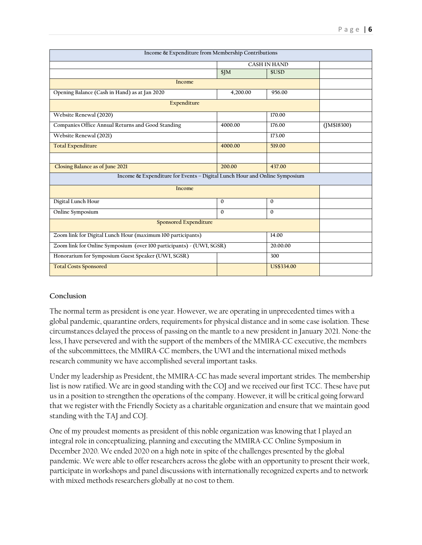| Income & Expenditure from Membership Contributions                               |                     |            |                |
|----------------------------------------------------------------------------------|---------------------|------------|----------------|
|                                                                                  | <b>CASH IN HAND</b> |            |                |
|                                                                                  | \$JM                | \$USD      |                |
| Income                                                                           |                     |            |                |
| Opening Balance (Cash in Hand) as at Jan 2020                                    | 4,200.00            | 956.00     |                |
| Expenditure                                                                      |                     |            |                |
| Website Renewal (2020)                                                           |                     | 170.00     |                |
| Companies Office Annual Returns and Good Standing                                | 4000.00             | 176.00     | $($ JM\$18300) |
| Website Renewal (2021)                                                           |                     | 173.00     |                |
| <b>Total Expenditure</b>                                                         | 4000.00             | 519.00     |                |
|                                                                                  |                     |            |                |
| Closing Balance as of June 2021                                                  | 200.00              | 437.00     |                |
| Income & Expenditure for Events - Digital Lunch Hour and Online Symposium        |                     |            |                |
| Income                                                                           |                     |            |                |
| Digital Lunch Hour                                                               | $\Omega$            | $\Omega$   |                |
| Online Symposium                                                                 | $\Omega$            | $\Omega$   |                |
| <b>Sponsored Expenditure</b>                                                     |                     |            |                |
| Zoom link for Digital Lunch Hour (maximum 100 participants)                      |                     | 14.00      |                |
| Zoom link for Online Symposium (over 100 participants) - (UWI, SGSR)<br>20.00.00 |                     |            |                |
| Honorarium for Symposium Guest Speaker (UWI, SGSR)                               |                     | 300        |                |
| <b>Total Costs Sponsored</b>                                                     |                     | US\$334.00 |                |

### **Conclusion**

The normal term as president is one year. However, we are operating in unprecedented times with a global pandemic, quarantine orders, requirements for physical distance and in some case isolation. These circumstances delayed the process of passing on the mantle to a new president in January 2021. None-the less, I have persevered and with the support of the members of the MMIRA-CC executive, the members of the subcommittees, the MMIRA-CC members, the UWI and the international mixed methods research community we have accomplished several important tasks.

Under my leadership as President, the MMIRA-CC has made several important strides. The membership list is now ratified. We are in good standing with the COJ and we received our first TCC. These have put us in a position to strengthen the operations of the company. However, it will be critical going forward that we register with the Friendly Society as a charitable organization and ensure that we maintain good standing with the TAJ and COJ.

One of my proudest moments as president of this noble organization was knowing that I played an integral role in conceptualizing, planning and executing the MMIRA-CC Online Symposium in December 2020. We ended 2020 on a high note in spite of the challenges presented by the global pandemic. We were able to offer researchers across the globe with an opportunity to present their work, participate in workshops and panel discussions with internationally recognized experts and to network with mixed methods researchers globally at no cost to them.